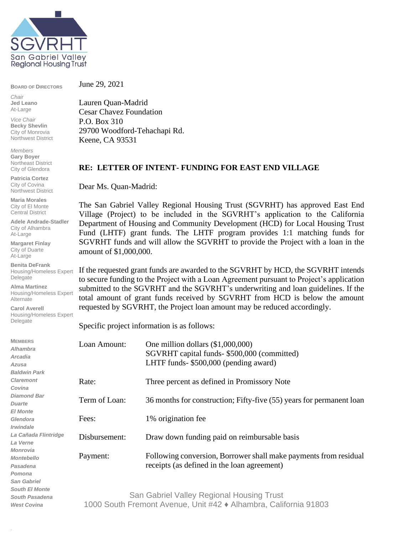

**BOARD OF DIRECTORS**

*Chair* **Jed Leano** At-Large

*Vice Chair* **Becky Shevlin** City of Monrovia Northwest District

*Members* **Gary Boyer** Northeast District City of Glendora

**Patricia Cortez** City of Covina Northwest District

**Maria Morales** City of El Monte Central District

**Adele Andrade-Stadler** City of Alhambra At-Large

**Margaret Finlay** City of Duarte At-Large

**Benita DeFrank** Housing/Homeless Expert Delegate

**Alma Martinez** Housing/Homeless Expert Alternate

**Carol Averell** Housing/Homeless Expert Delegate

*West Covina*

.

June 29, 2021

Lauren Quan-Madrid Cesar Chavez Foundation P.O. Box 310 29700 Woodford-Tehachapi Rd. Keene, CA 93531

## **RE: LETTER OF INTENT- FUNDING FOR EAST END VILLAGE**

Dear Ms. Quan-Madrid:

The San Gabriel Valley Regional Housing Trust (SGVRHT) has approved East End Village (Project) to be included in the SGVRHT's application to the California Department of Housing and Community Development (HCD) for Local Housing Trust Fund (LHTF) grant funds. The LHTF program provides 1:1 matching funds for SGVRHT funds and will allow the SGVRHT to provide the Project with a loan in the amount of \$1,000,000.

If the requested grant funds are awarded to the SGVRHT by HCD, the SGVRHT intends to secure funding to the Project with a Loan Agreement pursuant to Project's application submitted to the SGVRHT and the SGVRHT's underwriting and loan guidelines. If the total amount of grant funds received by SGVRHT from HCD is below the amount requested by SGVRHT, the Project loan amount may be reduced accordingly.

Specific project information is as follows:

| <b>MEMBERS</b>             | Loan Amount:                              | One million dollars $(\$1,000,000)$                                  |  |
|----------------------------|-------------------------------------------|----------------------------------------------------------------------|--|
| Alhambra<br><b>Arcadia</b> |                                           | SGVRHT capital funds- \$500,000 (committed)                          |  |
| Azusa                      |                                           | LHTF funds- \$500,000 (pending award)                                |  |
| <b>Baldwin Park</b>        |                                           |                                                                      |  |
|                            |                                           |                                                                      |  |
| <b>Claremont</b>           | Rate:                                     | Three percent as defined in Promissory Note                          |  |
| Covina                     |                                           |                                                                      |  |
| <b>Diamond Bar</b>         | Term of Loan:                             | 36 months for construction; Fifty-five (55) years for permanent loan |  |
| <b>Duarte</b>              |                                           |                                                                      |  |
| <b>El Monte</b>            |                                           |                                                                      |  |
| Glendora                   | Fees:                                     | 1% origination fee                                                   |  |
| <i><b>Irwindale</b></i>    |                                           |                                                                      |  |
| La Cañada Flintridge       | Disbursement:                             |                                                                      |  |
| La Verne                   |                                           | Draw down funding paid on reimbursable basis                         |  |
| Monrovia                   |                                           |                                                                      |  |
| <b>Montebello</b>          | Payment:                                  | Following conversion, Borrower shall make payments from residual     |  |
| Pasadena                   |                                           | receipts (as defined in the loan agreement)                          |  |
| Pomona                     |                                           |                                                                      |  |
| <b>San Gabriel</b>         |                                           |                                                                      |  |
| <b>South El Monte</b>      |                                           |                                                                      |  |
| <b>South Pasadena</b>      | San Gabriel Valley Regional Housing Trust |                                                                      |  |

San Gabriel Valley Regional Housing Trust 1000 South Fremont Avenue, Unit #42 ♦ Alhambra, California 91803